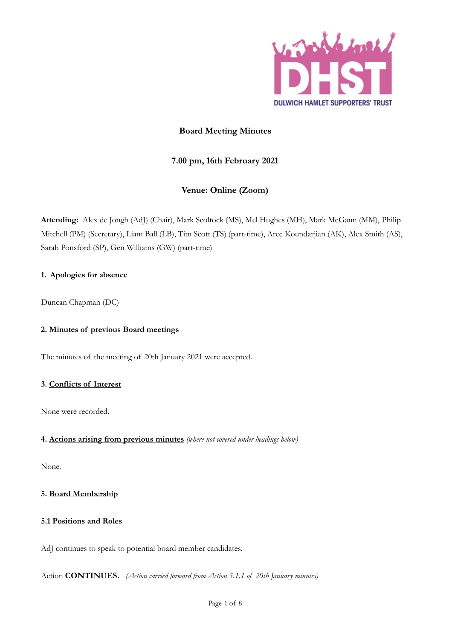

# **Board Meeting Minutes**

# **7.00 pm, 16th February 2021**

# **Venue: Online (Zoom)**

**Attending:** Alex de Jongh (AdJ) (Chair), Mark Scoltock (MS), Mel Hughes (MH), Mark McGann (MM), Philip Mitchell (PM) (Secretary), Liam Ball (LB), Tim Scott (TS) (part-time), Arec Koundarjian (AK), Alex Smith (AS), Sarah Ponsford (SP), Gen Williams (GW) (part-time)

# **1. Apologies for absence**

Duncan Chapman (DC)

# **2. Minutes of previous Board meetings**

The minutes of the meeting of 20th January 2021 were accepted.

# **3. Conflicts of Interest**

None were recorded.

# **4. Actions arising from previous minutes** *(where not covered under headings below)*

None.

# **5. Board Membership**

# **5.1 Positions and Roles**

AdJ continues to speak to potential board member candidates.

Action **CONTINUES.** *(Action carried forward from Action 5.1.1 of 20th January minutes)*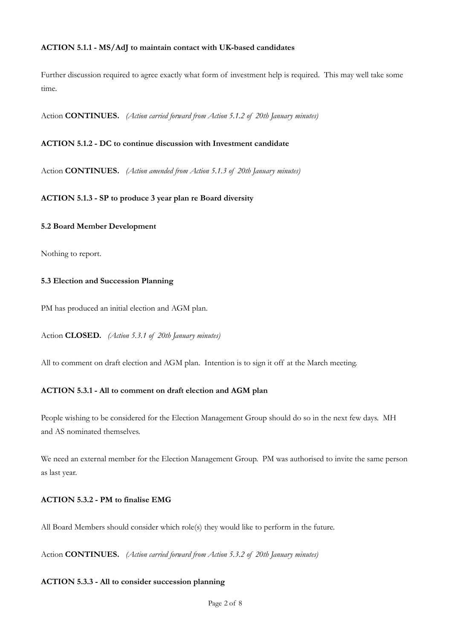## **ACTION 5.1.1 - MS/AdJ to maintain contact with UK-based candidates**

Further discussion required to agree exactly what form of investment help is required. This may well take some time.

Action **CONTINUES.** *(Action carried forward from Action 5.1.2 of 20th January minutes)*

## **ACTION 5.1.2 - DC to continue discussion with Investment candidate**

Action **CONTINUES.** *(Action amended from Action 5.1.3 of 20th January minutes)*

**ACTION 5.1.3 - SP to produce 3 year plan re Board diversity**

#### **5.2 Board Member Development**

Nothing to report.

## **5.3 Election and Succession Planning**

PM has produced an initial election and AGM plan.

Action **CLOSED.** *(Action 5.3.1 of 20th January minutes)*

All to comment on draft election and AGM plan. Intention is to sign it off at the March meeting.

## **ACTION 5.3.1 - All to comment on draft election and AGM plan**

People wishing to be considered for the Election Management Group should do so in the next few days. MH and AS nominated themselves.

We need an external member for the Election Management Group. PM was authorised to invite the same person as last year.

## **ACTION 5.3.2 - PM to finalise EMG**

All Board Members should consider which role(s) they would like to perform in the future.

Action **CONTINUES.** *(Action carried forward from Action 5.3.2 of 20th January minutes)*

#### **ACTION 5.3.3 - All to consider succession planning**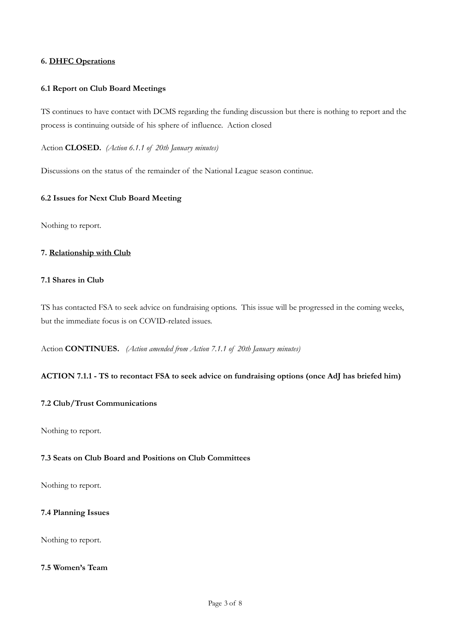## **6. DHFC Operations**

## **6.1 Report on Club Board Meetings**

TS continues to have contact with DCMS regarding the funding discussion but there is nothing to report and the process is continuing outside of his sphere of influence. Action closed

Action **CLOSED.** *(Action 6.1.1 of 20th January minutes)*

Discussions on the status of the remainder of the National League season continue.

## **6.2 Issues for Next Club Board Meeting**

Nothing to report.

## **7. Relationship with Club**

## **7.1 Shares in Club**

TS has contacted FSA to seek advice on fundraising options. This issue will be progressed in the coming weeks, but the immediate focus is on COVID-related issues.

Action **CONTINUES.** *(Action amended from Action 7.1.1 of 20th January minutes)*

#### **ACTION 7.1.1 - TS to recontact FSA to seek advice on fundraising options (once AdJ has briefed him)**

## **7.2 Club/Trust Communications**

Nothing to report.

## **7.3 Seats on Club Board and Positions on Club Committees**

Nothing to report.

## **7.4 Planning Issues**

Nothing to report.

## **7.5 Women's Team**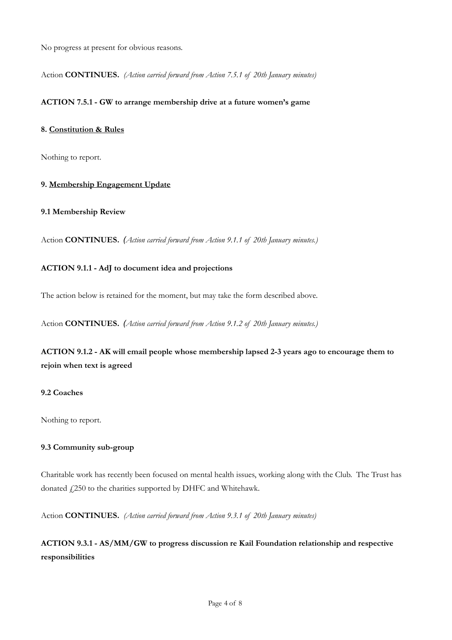No progress at present for obvious reasons.

Action **CONTINUES.** *(Action carried forward from Action 7.5.1 of 20th January minutes)*

## **ACTION 7.5.1 - GW to arrange membership drive at a future women's game**

## **8. Constitution & Rules**

Nothing to report.

## **9. Membership Engagement Update**

## **9.1 Membership Review**

Action **CONTINUES.** *(Action carried forward from Action 9.1.1 of 20th January minutes.)*

## **ACTION 9.1.1 - AdJ to document idea and projections**

The action below is retained for the moment, but may take the form described above.

Action **CONTINUES.** *(Action carried forward from Action 9.1.2 of 20th January minutes.)*

**ACTION 9.1.2 - AK will email people whose membership lapsed 2-3 years ago to encourage them to rejoin when text is agreed**

## **9.2 Coaches**

Nothing to report.

## **9.3 Community sub-group**

Charitable work has recently been focused on mental health issues, working along with the Club. The Trust has donated  $f$ <sub>250</sub> to the charities supported by DHFC and Whitehawk.

Action **CONTINUES.** *(Action carried forward from Action 9.3.1 of 20th January minutes)*

# **ACTION 9.3.1 - AS/MM/GW to progress discussion re Kail Foundation relationship and respective responsibilities**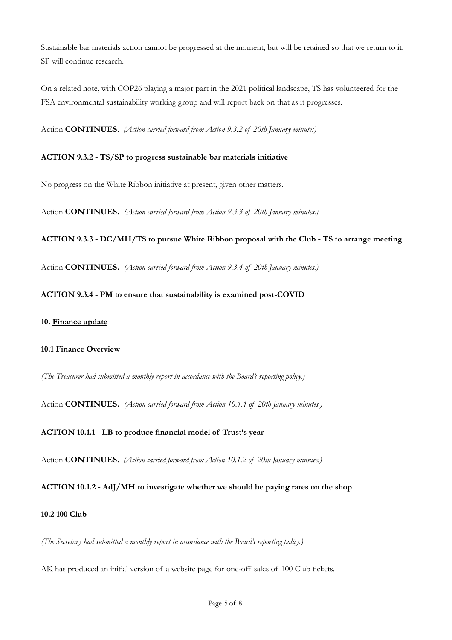Sustainable bar materials action cannot be progressed at the moment, but will be retained so that we return to it. SP will continue research.

On a related note, with COP26 playing a major part in the 2021 political landscape, TS has volunteered for the FSA environmental sustainability working group and will report back on that as it progresses.

Action **CONTINUES.** *(Action carried forward from Action 9.3.2 of 20th January minutes)* 

# **ACTION 9.3.2 - TS/SP to progress sustainable bar materials initiative**

No progress on the White Ribbon initiative at present, given other matters.

Action **CONTINUES.** *(Action carried forward from Action 9.3.3 of 20th January minutes.)*

## **ACTION 9.3.3 - DC/MH/TS to pursue White Ribbon proposal with the Club - TS to arrange meeting**

Action **CONTINUES.** *(Action carried forward from Action 9.3.4 of 20th January minutes.)*

## **ACTION 9.3.4 - PM to ensure that sustainability is examined post-COVID**

#### **10. Finance update**

#### **10.1 Finance Overview**

*(The Treasurer had submitted a monthly report in accordance with the Board's reporting policy.)*

Action **CONTINUES.** *(Action carried forward from Action 10.1.1 of 20th January minutes.)* 

## **ACTION 10.1.1 - LB to produce financial model of Trust's year**

Action **CONTINUES.** *(Action carried forward from Action 10.1.2 of 20th January minutes.)* 

## **ACTION 10.1.2 - AdJ/MH to investigate whether we should be paying rates on the shop**

#### **10.2 100 Club**

*(The Secretary had submitted a monthly report in accordance with the Board's reporting policy.)*

AK has produced an initial version of a website page for one-off sales of 100 Club tickets.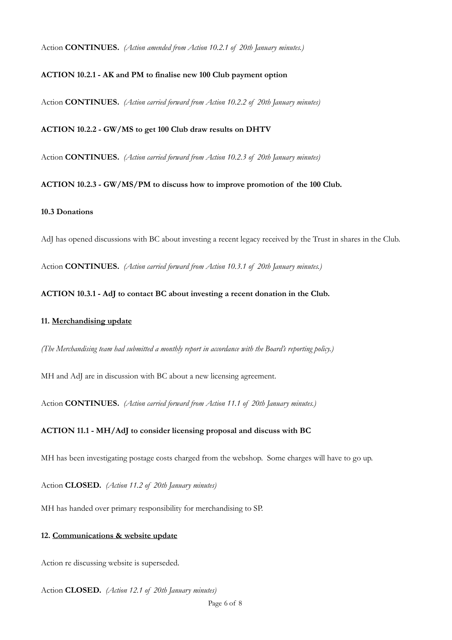Action **CONTINUES.** *(Action amended from Action 10.2.1 of 20th January minutes.)* 

## **ACTION 10.2.1 - AK and PM to finalise new 100 Club payment option**

Action **CONTINUES.** *(Action carried forward from Action 10.2.2 of 20th January minutes)* 

## **ACTION 10.2.2 - GW/MS to get 100 Club draw results on DHTV**

Action **CONTINUES.** *(Action carried forward from Action 10.2.3 of 20th January minutes)*

**ACTION 10.2.3 - GW/MS/PM to discuss how to improve promotion of the 100 Club.**

## **10.3 Donations**

AdJ has opened discussions with BC about investing a recent legacy received by the Trust in shares in the Club.

Action **CONTINUES.** *(Action carried forward from Action 10.3.1 of 20th January minutes.)*

## **ACTION 10.3.1 - AdJ to contact BC about investing a recent donation in the Club.**

## **11. Merchandising update**

*(The Merchandising team had submitted a monthly report in accordance with the Board's reporting policy.)*

MH and AdJ are in discussion with BC about a new licensing agreement.

Action **CONTINUES.** *(Action carried forward from Action 11.1 of 20th January minutes.)*

### **ACTION 11.1 - MH/AdJ to consider licensing proposal and discuss with BC**

MH has been investigating postage costs charged from the webshop. Some charges will have to go up.

Action **CLOSED.** *(Action 11.2 of 20th January minutes)*

MH has handed over primary responsibility for merchandising to SP.

## **12. Communications & website update**

Action re discussing website is superseded.

Action **CLOSED.** *(Action 12.1 of 20th January minutes)*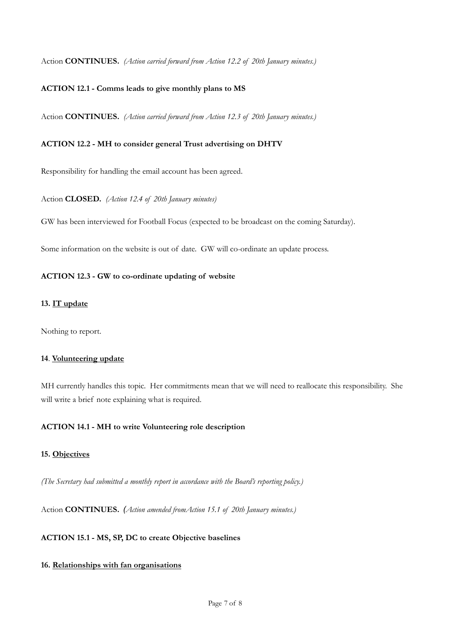Action **CONTINUES.** *(Action carried forward from Action 12.2 of 20th January minutes.)*

## **ACTION 12.1 - Comms leads to give monthly plans to MS**

Action **CONTINUES.** *(Action carried forward from Action 12.3 of 20th January minutes.)*

#### **ACTION 12.2 - MH to consider general Trust advertising on DHTV**

Responsibility for handling the email account has been agreed.

#### Action **CLOSED.** *(Action 12.4 of 20th January minutes)*

GW has been interviewed for Football Focus (expected to be broadcast on the coming Saturday).

Some information on the website is out of date. GW will co-ordinate an update process.

## **ACTION 12.3 - GW to co-ordinate updating of website**

#### **13. IT update**

Nothing to report.

#### **14**. **Volunteering update**

MH currently handles this topic. Her commitments mean that we will need to reallocate this responsibility. She will write a brief note explaining what is required.

### **ACTION 14.1 - MH to write Volunteering role description**

## **15. Objectives**

*(The Secretary had submitted a monthly report in accordance with the Board's reporting policy.)*

Action **CONTINUES.** *(Action amended fromAction 15.1 of 20th January minutes.)*

## **ACTION 15.1 - MS, SP, DC to create Objective baselines**

#### **16. Relationships with fan organisations**